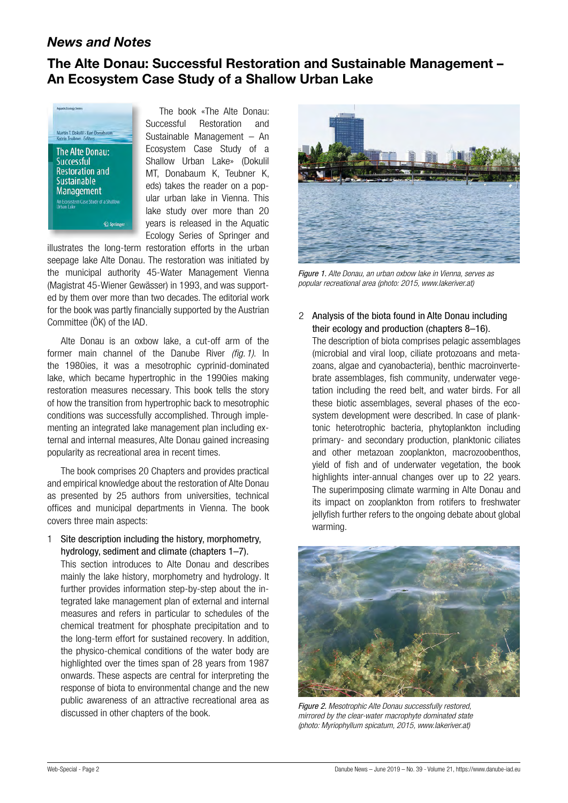## *News and Notes*

## **The Alte Donau: Successful Restoration and Sustainable Management – An Ecosystem Case Study of a Shallow Urban Lake**



The book «The Alte Donau: Successful Restoration and Sustainable Management – An Ecosystem Case Study of a Shallow Urban Lake» (Dokulil MT, Donabaum K, Teubner K, eds) takes the reader on a popular urban lake in Vienna. This lake study over more than 20 years is released in the Aquatic Ecology Series of Springer and

illustrates the long-term restoration efforts in the urban seepage lake Alte Donau. The restoration was initiated by the municipal authority 45-Water Management Vienna (Magistrat 45-Wiener Gewässer) in 1993, and was supported by them over more than two decades. The editorial work for the book was partly financially supported by the Austrian Committee (ÖK) of the IAD.

Alte Donau is an oxbow lake, a cut-off arm of the former main channel of the Danube River *(fig.1)*. In the 1980ies, it was a mesotrophic cyprinid-dominated lake, which became hypertrophic in the 1990ies making restoration measures necessary. This book tells the story of how the transition from hypertrophic back to mesotrophic conditions was successfully accomplished. Through implementing an integrated lake management plan including external and internal measures, Alte Donau gained increasing popularity as recreational area in recent times.

The book comprises 20 Chapters and provides practical and empirical knowledge about the restoration of Alte Donau as presented by 25 authors from universities, technical offices and municipal departments in Vienna. The book covers three main aspects:

## 1 Site description including the history, morphometry, hydrology, sediment and climate (chapters 1–7).

This section introduces to Alte Donau and describes mainly the lake history, morphometry and hydrology. It further provides information step-by-step about the integrated lake management plan of external and internal measures and refers in particular to schedules of the chemical treatment for phosphate precipitation and to the long-term effort for sustained recovery. In addition, the physico-chemical conditions of the water body are highlighted over the times span of 28 years from 1987 onwards. These aspects are central for interpreting the response of biota to environmental change and the new public awareness of an attractive recreational area as discussed in other chapters of the book.



*Figure 1. Alte Donau, an urban oxbow lake in Vienna, serves as popular recreational area (photo: 2015, www.lakeriver.at)*

2 Analysis of the biota found in Alte Donau including their ecology and production (chapters 8–16). The description of biota comprises pelagic assemblages (microbial and viral loop, ciliate protozoans and metazoans, algae and cyanobacteria), benthic macroinvertebrate assemblages, fish community, underwater vegetation including the reed belt, and water birds. For all these biotic assemblages, several phases of the ecosystem development were described. In case of planktonic heterotrophic bacteria, phytoplankton including primary- and secondary production, planktonic ciliates and other metazoan zooplankton, macrozoobenthos, yield of fish and of underwater vegetation, the book highlights inter-annual changes over up to 22 years. The superimposing climate warming in Alte Donau and its impact on zooplankton from rotifers to freshwater jellyfish further refers to the ongoing debate about global warming.



*Figure 2. Mesotrophic Alte Donau successfully restored, mirrored by the clear-water macrophyte dominated state (photo: Myriophyllum spicatum, 2015, www.lakeriver.at)*